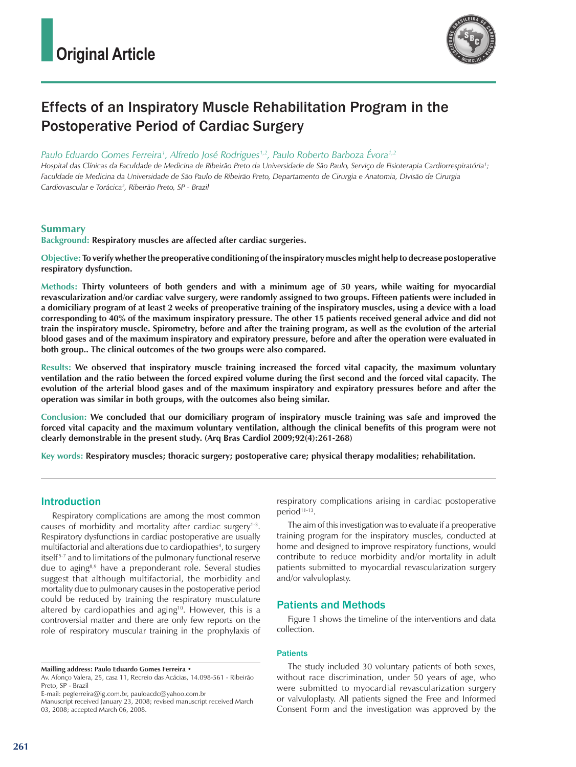

# Effects of an Inspiratory Muscle Rehabilitation Program in the Postoperative Period of Cardiac Surgery

## *Paulo Eduardo Gomes Ferreira1 , Alfredo José Rodrigues1,2, Paulo Roberto Barboza Évora1,2*

*Hospital das Clínicas da Faculdade de Medicina de Ribeirão Preto da Universidade de São Paulo, Serviço de Fisioterapia Cardiorrespiratória1 ; Faculdade de Medicina da Universidade de São Paulo de Ribeirão Preto, Departamento de Cirurgia e Anatomia, Divisão de Cirurgia Cardiovascular e Torácica2 , Ribeirão Preto, SP - Brazil*

### **Summary**

**Background: Respiratory muscles are affected after cardiac surgeries.**

**Objective: To verify whether the preoperative conditioning of the inspiratory muscles might help to decrease postoperative respiratory dysfunction.**

**Methods: Thirty volunteers of both genders and with a minimum age of 50 years, while waiting for myocardial revascularization and/or cardiac valve surgery, were randomly assigned to two groups. Fifteen patients were included in a domiciliary program of at least 2 weeks of preoperative training of the inspiratory muscles, using a device with a load corresponding to 40% of the maximum inspiratory pressure. The other 15 patients received general advice and did not train the inspiratory muscle. Spirometry, before and after the training program, as well as the evolution of the arterial blood gases and of the maximum inspiratory and expiratory pressure, before and after the operation were evaluated in both group.. The clinical outcomes of the two groups were also compared.**

**Results: We observed that inspiratory muscle training increased the forced vital capacity, the maximum voluntary ventilation and the ratio between the forced expired volume during the first second and the forced vital capacity. The evolution of the arterial blood gases and of the maximum inspiratory and expiratory pressures before and after the operation was similar in both groups, with the outcomes also being similar.**

**Conclusion: We concluded that our domiciliary program of inspiratory muscle training was safe and improved the forced vital capacity and the maximum voluntary ventilation, although the clinical benefits of this program were not clearly demonstrable in the present study. (Arq Bras Cardiol 2009;92(4):261-268)**

**Key words: Respiratory muscles; thoracic surgery; postoperative care; physical therapy modalities; rehabilitation.**

## Introduction

Respiratory complications are among the most common causes of morbidity and mortality after cardiac surgery<sup>1-3</sup>. Respiratory dysfunctions in cardiac postoperative are usually multifactorial and alterations due to cardiopathies<sup>4</sup>, to surgery itself<sup>5-7</sup> and to limitations of the pulmonary functional reserve due to aging8,9 have a preponderant role. Several studies suggest that although multifactorial, the morbidity and mortality due to pulmonary causes in the postoperative period could be reduced by training the respiratory musculature altered by cardiopathies and aging<sup>10</sup>. However, this is a controversial matter and there are only few reports on the role of respiratory muscular training in the prophylaxis of

E-mail: pegferreira@ig.com.br, pauloacdc@yahoo.com.br

respiratory complications arising in cardiac postoperative period<sup>11-13</sup>.

The aim of this investigation was to evaluate if a preoperative training program for the inspiratory muscles, conducted at home and designed to improve respiratory functions, would contribute to reduce morbidity and/or mortality in adult patients submitted to myocardial revascularization surgery and/or valvuloplasty.

## Patients and Methods

Figure 1 shows the timeline of the interventions and data collection.

#### **Patients**

The study included 30 voluntary patients of both sexes, without race discrimination, under 50 years of age, who were submitted to myocardial revascularization surgery or valvuloplasty. All patients signed the Free and Informed Consent Form and the investigation was approved by the

**Mailling address: Paulo Eduardo Gomes Ferreira •** 

Av. Afonço Valera, 25, casa 11, Recreio das Acácias, 14.098-561 - Ribeirão Preto, SP - Brazil

Manuscript received January 23, 2008; revised manuscript received March 03, 2008; accepted March 06, 2008.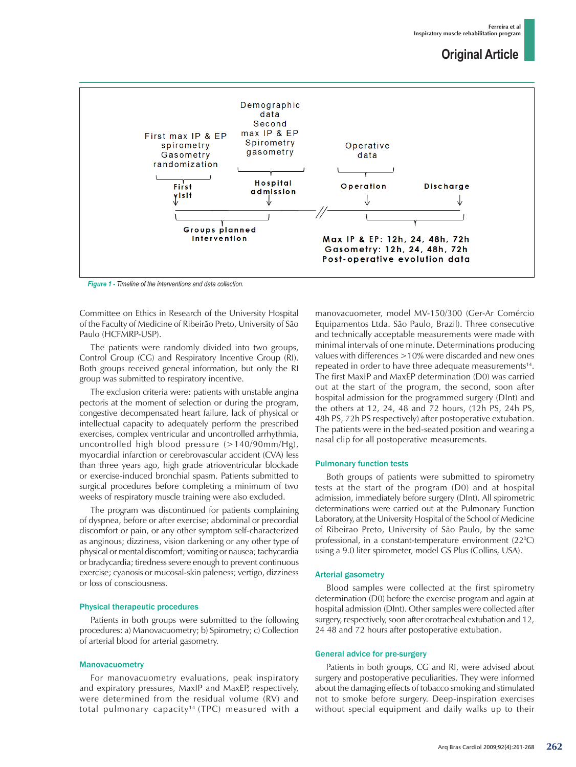

*Figure 1 - Timeline of the interventions and data collection.*

Committee on Ethics in Research of the University Hospital of the Faculty of Medicine of Ribeirão Preto, University of São Paulo (HCFMRP-USP).

The patients were randomly divided into two groups, Control Group (CG) and Respiratory Incentive Group (RI). Both groups received general information, but only the RI group was submitted to respiratory incentive.

The exclusion criteria were: patients with unstable angina pectoris at the moment of selection or during the program, congestive decompensated heart failure, lack of physical or intellectual capacity to adequately perform the prescribed exercises, complex ventricular and uncontrolled arrhythmia, uncontrolled high blood pressure (>140/90mm/Hg), myocardial infarction or cerebrovascular accident (CVA) less than three years ago, high grade atrioventricular blockade or exercise-induced bronchial spasm. Patients submitted to surgical procedures before completing a minimum of two weeks of respiratory muscle training were also excluded.

The program was discontinued for patients complaining of dyspnea, before or after exercise; abdominal or precordial discomfort or pain, or any other symptom self-characterized as anginous; dizziness, vision darkening or any other type of physical or mental discomfort; vomiting or nausea; tachycardia or bradycardia; tiredness severe enough to prevent continuous exercise; cyanosis or mucosal-skin paleness; vertigo, dizziness or loss of consciousness.

#### Physical therapeutic procedures

Patients in both groups were submitted to the following procedures: a) Manovacuometry; b) Spirometry; c) Collection of arterial blood for arterial gasometry.

#### Manovacuometry

For manovacuometry evaluations, peak inspiratory and expiratory pressures, MaxIP and MaxEP, respectively, were determined from the residual volume (RV) and total pulmonary capacity<sup>14</sup> (TPC) measured with a manovacuometer, model MV-150/300 (Ger-Ar Comércio Equipamentos Ltda. São Paulo, Brazil). Three consecutive and technically acceptable measurements were made with minimal intervals of one minute. Determinations producing values with differences >10% were discarded and new ones repeated in order to have three adequate measurements<sup>14</sup>. The first MaxIP and MaxEP determination (D0) was carried out at the start of the program, the second, soon after hospital admission for the programmed surgery (DInt) and the others at 12, 24, 48 and 72 hours, (12h PS, 24h PS, 48h PS, 72h PS respectively) after postoperative extubation. The patients were in the bed-seated position and wearing a nasal clip for all postoperative measurements.

#### Pulmonary function tests

Both groups of patients were submitted to spirometry tests at the start of the program (D0) and at hospital admission, immediately before surgery (DInt). All spirometric determinations were carried out at the Pulmonary Function Laboratory, at the University Hospital of the School of Medicine of Ribeirao Preto, University of São Paulo, by the same professional, in a constant-temperature environment (22<sup>o</sup>C) using a 9.0 liter spirometer, model GS Plus (Collins, USA).

#### Arterial gasometry

Blood samples were collected at the first spirometry determination (D0) before the exercise program and again at hospital admission (DInt). Other samples were collected after surgery, respectively, soon after orotracheal extubation and 12, 24 48 and 72 hours after postoperative extubation.

#### General advice for pre-surgery

Patients in both groups, CG and RI, were advised about surgery and postoperative peculiarities. They were informed about the damaging effects of tobacco smoking and stimulated not to smoke before surgery. Deep-inspiration exercises without special equipment and daily walks up to their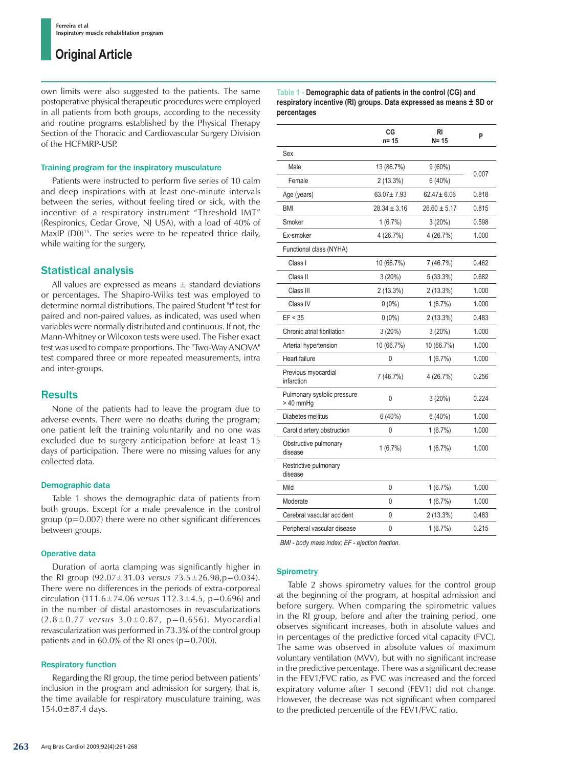own limits were also suggested to the patients. The same postoperative physical therapeutic procedures were employed in all patients from both groups, according to the necessity and routine programs established by the Physical Therapy Section of the Thoracic and Cardiovascular Surgery Division of the HCFMRP-USP.

#### Training program for the inspiratory musculature

Patients were instructed to perform five series of 10 calm and deep inspirations with at least one-minute intervals between the series, without feeling tired or sick, with the incentive of a respiratory instrument "Threshold IMT" (Respironics, Cedar Grove, NJ USA), with a load of 40% of MaxIP (D0)<sup>15</sup>. The series were to be repeated thrice daily, while waiting for the surgery.

## Statistical analysis

All values are expressed as means  $\pm$  standard deviations or percentages. The Shapiro-Wilks test was employed to determine normal distributions. The paired Student "t" test for paired and non-paired values, as indicated, was used when variables were normally distributed and continuous. If not, the Mann-Whitney or Wilcoxon tests were used. The Fisher exact test was used to compare proportions. The "Two-Way ANOVA" test compared three or more repeated measurements, intra and inter-groups.

### **Results**

None of the patients had to leave the program due to adverse events. There were no deaths during the program; one patient left the training voluntarily and no one was excluded due to surgery anticipation before at least 15 days of participation. There were no missing values for any collected data.

#### Demographic data

Table 1 shows the demographic data of patients from both groups. Except for a male prevalence in the control group ( $p=0.007$ ) there were no other significant differences between groups.

#### Operative data

Duration of aorta clamping was significantly higher in the RI group (92.07±31.03 *versus* 73.5±26.98,p=0.034). There were no differences in the periods of extra-corporeal circulation (111.6±74.06 *versus* 112.3±4.5, p=0.696) and in the number of distal anastomoses in revascularizations (2.8±0.77 *versus* 3.0±0.87, p=0.656). Myocardial revascularization was performed in 73.3% of the control group patients and in  $60.0\%$  of the RI ones ( $p=0.700$ ).

#### Respiratory function

Regarding the RI group, the time period between patients' inclusion in the program and admission for surgery, that is, the time available for respiratory musculature training, was  $154.0 \pm 87.4$  days.

|                                            | СG<br>$n = 15$   | RI<br>$N = 15$   | P     |
|--------------------------------------------|------------------|------------------|-------|
| Sex                                        |                  |                  |       |
| Male                                       | 13 (86.7%)       | $9(60\%)$        |       |
| Female                                     | $2(13.3\%)$      | 6(40%)           | 0.007 |
| Age (years)                                | 63.07± 7.93      | 62.47± 6.06      | 0.818 |
| <b>BMI</b>                                 | $28.34 \pm 3.16$ | $26.60 \pm 5.17$ | 0.815 |
| Smoker                                     | 1(6.7%)          | 3 (20%)          | 0.598 |
| Ex-smoker                                  | 4 (26.7%)        | 4(26.7%)         | 1.000 |
| Functional class (NYHA)                    |                  |                  |       |
| Class I                                    | 10 (66.7%)       | 7 (46.7%)        | 0.462 |
| Class II                                   | $3(20\%)$        | 5(33.3%)         | 0.682 |
| Class III                                  | $2(13.3\%)$      | 2(13.3%)         | 1.000 |
| Class IV                                   | $0(0\%)$         | 1(6.7%)          | 1.000 |
| FF < 35                                    | $0(0\%)$         | 2(13.3%)         | 0.483 |
| Chronic atrial fibrillation                | $3(20\%)$        | 3 (20%)          | 1.000 |
| Arterial hypertension                      | 10 (66.7%)       | 10 (66.7%)       | 1.000 |
| Heart failure                              | 0                | 1(6.7%)          | 1.000 |
| Previous myocardial<br>infarction          | 7 (46.7%)        | 4 (26.7%)        | 0.256 |
| Pulmonary systolic pressure<br>$> 40$ mmHg | $\mathbf{0}$     | 3(20%)           | 0.224 |
| Diabetes mellitus                          | $6(40\%)$        | $6(40\%)$        | 1.000 |
| Carotid artery obstruction                 | 0                | 1(6.7%)          | 1.000 |
| Obstructive pulmonary<br>disease           | 1 (6.7%)         | 1(6.7%)          | 1.000 |
| Restrictive pulmonary<br>disease           |                  |                  |       |
| Mild                                       | 0                | $1(6.7\%)$       | 1.000 |
| Moderate                                   | 0                | 1(6.7%)          | 1.000 |
| Cerebral vascular accident                 | 0                | 2(13.3%)         | 0.483 |
| Peripheral vascular disease                | $\Omega$         | $1(6.7\%)$       | 0.215 |

*BMI - body mass index; EF - ejection fraction.*

### **Spirometry**

Table 2 shows spirometry values for the control group at the beginning of the program, at hospital admission and before surgery. When comparing the spirometric values in the RI group, before and after the training period, one observes significant increases, both in absolute values and in percentages of the predictive forced vital capacity (FVC). The same was observed in absolute values of maximum voluntary ventilation (MVV), but with no significant increase in the predictive percentage. There was a significant decrease in the FEV1/FVC ratio, as FVC was increased and the forced expiratory volume after 1 second (FEV1) did not change. However, the decrease was not significant when compared to the predicted percentile of the FEV1/FVC ratio.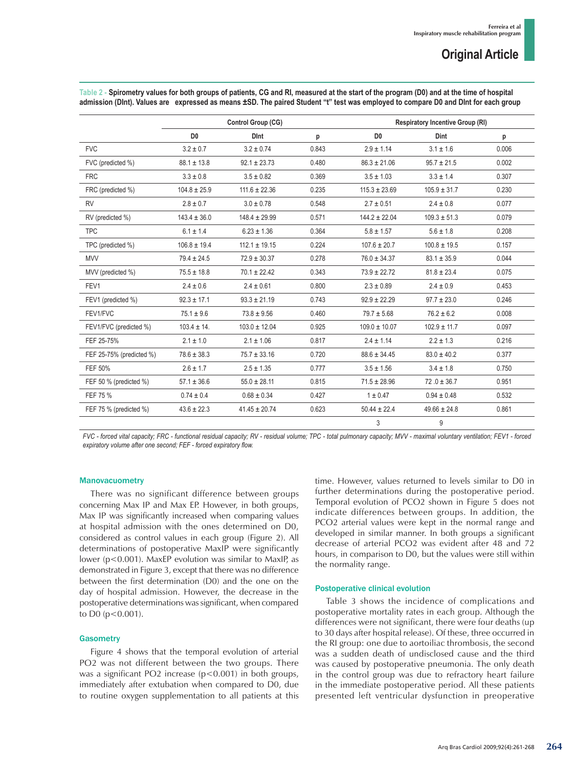|                          |                  | Control Group (CG) |       |                   | <b>Respiratory Incentive Group (RI)</b> |       |  |
|--------------------------|------------------|--------------------|-------|-------------------|-----------------------------------------|-------|--|
|                          | D <sub>0</sub>   | <b>D</b> Int       | p     | D <sub>0</sub>    | Dint                                    | p     |  |
| <b>FVC</b>               | $3.2 \pm 0.7$    | $3.2 \pm 0.74$     | 0.843 | $2.9 \pm 1.14$    | $3.1 \pm 1.6$                           | 0.006 |  |
| FVC (predicted %)        | $88.1 \pm 13.8$  | $92.1 \pm 23.73$   | 0.480 | $86.3 \pm 21.06$  | $95.7 \pm 21.5$                         | 0.002 |  |
| <b>FRC</b>               | $3.3 \pm 0.8$    | $3.5 \pm 0.82$     | 0.369 | $3.5 \pm 1.03$    | $3.3 \pm 1.4$                           | 0.307 |  |
| FRC (predicted %)        | $104.8 \pm 25.9$ | $111.6 \pm 22.36$  | 0.235 | $115.3 \pm 23.69$ | $105.9 \pm 31.7$                        | 0.230 |  |
| <b>RV</b>                | $2.8 \pm 0.7$    | $3.0 \pm 0.78$     | 0.548 | $2.7 \pm 0.51$    | $2.4 \pm 0.8$                           | 0.077 |  |
| RV (predicted %)         | $143.4 \pm 36.0$ | $148.4 \pm 29.99$  | 0.571 | $144.2 \pm 22.04$ | $109.3 \pm 51.3$                        | 0.079 |  |
| <b>TPC</b>               | $6.1 \pm 1.4$    | $6.23 \pm 1.36$    | 0.364 | $5.8 \pm 1.57$    | $5.6 \pm 1.8$                           | 0.208 |  |
| TPC (predicted %)        | $106.8 \pm 19.4$ | $112.1 \pm 19.15$  | 0.224 | $107.6 \pm 20.7$  | $100.8 \pm 19.5$                        | 0.157 |  |
| <b>MVV</b>               | $79.4 \pm 24.5$  | $72.9 \pm 30.37$   | 0.278 | $76.0 \pm 34.37$  | $83.1 \pm 35.9$                         | 0.044 |  |
| MVV (predicted %)        | $75.5 \pm 18.8$  | $70.1 \pm 22.42$   | 0.343 | $73.9 \pm 22.72$  | $81.8 \pm 23.4$                         | 0.075 |  |
| FEV1                     | $2.4 \pm 0.6$    | $2.4 \pm 0.61$     | 0.800 | $2.3 \pm 0.89$    | $2.4 \pm 0.9$                           | 0.453 |  |
| FEV1 (predicted %)       | $92.3 \pm 17.1$  | $93.3 \pm 21.19$   | 0.743 | $92.9 \pm 22.29$  | $97.7 \pm 23.0$                         | 0.246 |  |
| FEV1/FVC                 | $75.1 \pm 9.6$   | $73.8 \pm 9.56$    | 0.460 | $79.7 \pm 5.68$   | $76.2 \pm 6.2$                          | 0.008 |  |
| FEV1/FVC (predicted %)   | $103.4 \pm 14.$  | $103.0 \pm 12.04$  | 0.925 | $109.0 \pm 10.07$ | $102.9 \pm 11.7$                        | 0.097 |  |
| FEF 25-75%               | $2.1 \pm 1.0$    | $2.1 \pm 1.06$     | 0.817 | $2.4 \pm 1.14$    | $2.2 \pm 1.3$                           | 0.216 |  |
| FEF 25-75% (predicted %) | $78.6 \pm 38.3$  | $75.7 \pm 33.16$   | 0.720 | $88.6 \pm 34.45$  | $83.0 \pm 40.2$                         | 0.377 |  |
| <b>FEF 50%</b>           | $2.6 \pm 1.7$    | $2.5 \pm 1.35$     | 0.777 | $3.5 \pm 1.56$    | $3.4 \pm 1.8$                           | 0.750 |  |
| FEF 50 % (predicted %)   | $57.1 \pm 36.6$  | $55.0 \pm 28.11$   | 0.815 | $71.5 \pm 28.96$  | $72.0 \pm 36.7$                         | 0.951 |  |
| FEF 75 %                 | $0.74 \pm 0.4$   | $0.68 \pm 0.34$    | 0.427 | $1 \pm 0.47$      | $0.94 \pm 0.48$                         | 0.532 |  |
| FEF 75 % (predicted %)   | $43.6 \pm 22.3$  | $41.45 \pm 20.74$  | 0.623 | $50.44 \pm 22.4$  | $49.66 \pm 24.8$                        | 0.861 |  |
|                          |                  |                    |       | 3                 | 9                                       |       |  |

**Table 2 - Spirometry values for both groups of patients, CG and RI, measured at the start of the program (D0) and at the time of hospital** 

*FVC - forced vital capacity; FRC - functional residual capacity; RV - residual volume; TPC - total pulmonary capacity; MVV - maximal voluntary ventilation; FEV1 - forced expiratory volume after one second; FEF - forced expiratory flow.*

#### Manovacuometry

There was no significant difference between groups concerning Max IP and Max EP. However, in both groups, Max IP was significantly increased when comparing values at hospital admission with the ones determined on D0, considered as control values in each group (Figure 2). All determinations of postoperative MaxIP were significantly lower (p<0.001). MaxEP evolution was similar to MaxIP, as demonstrated in Figure 3, except that there was no difference between the first determination (D0) and the one on the day of hospital admission. However, the decrease in the postoperative determinations was significant, when compared to D0 (p<0.001).

#### **Gasometry**

Figure 4 shows that the temporal evolution of arterial PO2 was not different between the two groups. There was a significant PO2 increase  $(p<0.001)$  in both groups, immediately after extubation when compared to D0, due to routine oxygen supplementation to all patients at this time. However, values returned to levels similar to D0 in further determinations during the postoperative period. Temporal evolution of PCO2 shown in Figure 5 does not indicate differences between groups. In addition, the PCO2 arterial values were kept in the normal range and developed in similar manner. In both groups a significant decrease of arterial PCO2 was evident after 48 and 72 hours, in comparison to D0, but the values were still within the normality range.

#### Postoperative clinical evolution

Table 3 shows the incidence of complications and postoperative mortality rates in each group. Although the differences were not significant, there were four deaths (up to 30 days after hospital release). Of these, three occurred in the RI group: one due to aortoiliac thrombosis, the second was a sudden death of undisclosed cause and the third was caused by postoperative pneumonia. The only death in the control group was due to refractory heart failure in the immediate postoperative period. All these patients presented left ventricular dysfunction in preoperative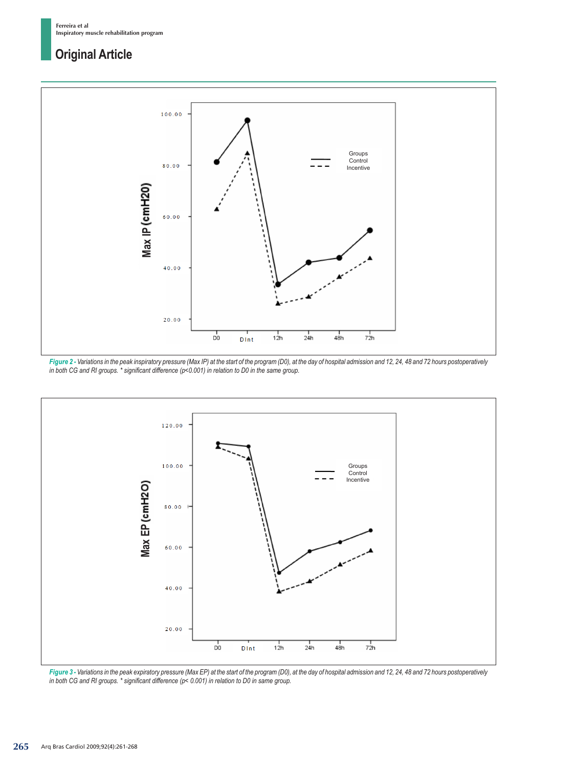

Figure 2 - Variations in the peak inspiratory pressure (Max IP) at the start of the program (D0), at the day of hospital admission and 12, 24, 48 and 72 hours postoperatively *in both CG and RI groups. \* significant difference (p<0.001) in relation to D0 in the same group.*



*Figure 3 - Variations in the peak expiratory pressure (Max EP) at the start of the program (D0), at the day of hospital admission and 12, 24, 48 and 72 hours postoperatively in both CG and RI groups. \* significant difference (p< 0.001) in relation to D0 in same group.*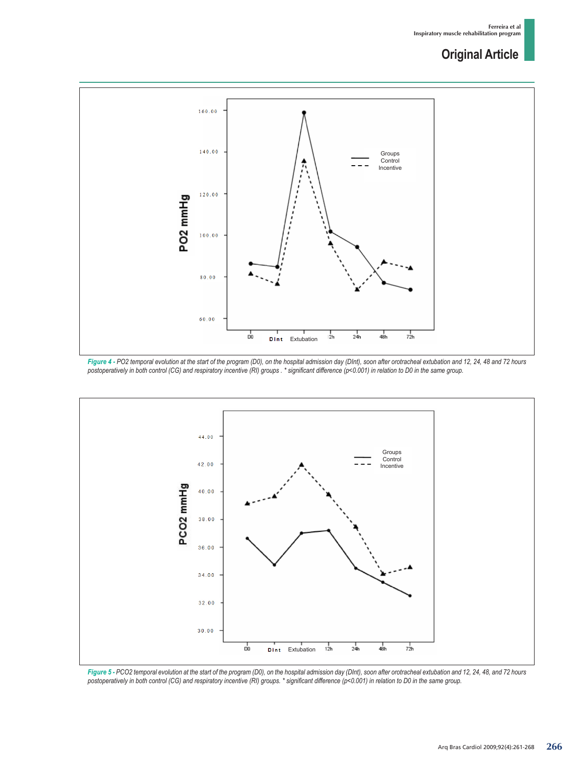

*Figure 4 - PO2 temporal evolution at the start of the program (D0), on the hospital admission day (DInt), soon after orotracheal extubation and 12, 24, 48 and 72 hours postoperatively in both control (CG) and respiratory incentive (RI) groups . \* significant difference (p<0.001) in relation to D0 in the same group.*



*Figure 5 - PCO2 temporal evolution at the start of the program (D0), on the hospital admission day (DInt), soon after orotracheal extubation and 12, 24, 48, and 72 hours postoperatively in both control (CG) and respiratory incentive (RI) groups. \* significant difference (p<0.001) in relation to D0 in the same group.*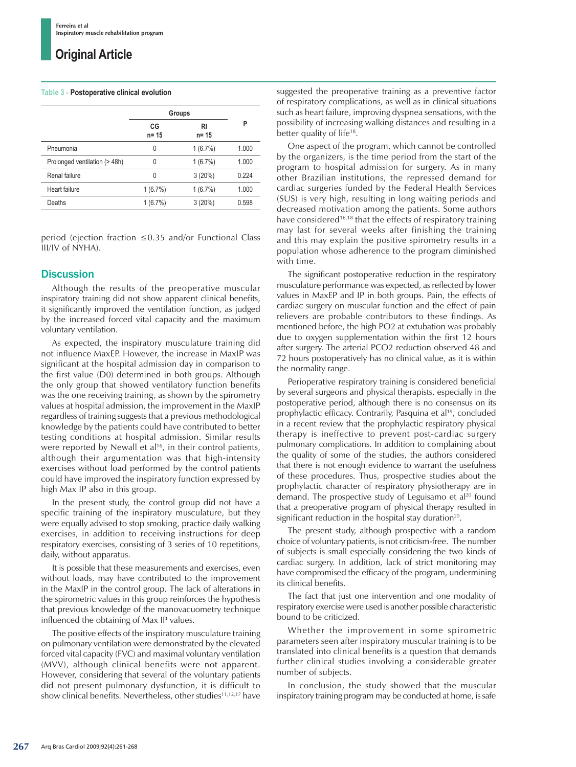#### **Table 3 - Postoperative clinical evolution**

|                               | Groups      |             |       |
|-------------------------------|-------------|-------------|-------|
|                               | CG<br>n= 15 | RI<br>n= 15 | P     |
| Pneumonia                     | 0           | 1(6.7%)     | 1.000 |
| Prolonged ventilation (> 48h) | 0           | 1(6.7%)     | 1.000 |
| Renal failure                 | 0           | $3(20\%)$   | 0.224 |
| Heart failure                 | $1(6.7\%)$  | 1(6.7%)     | 1.000 |
| Deaths                        | $1(6.7\%)$  | 3(20%)      | 0.598 |

period (ejection fraction ≤0.35 and/or Functional Class III/IV of NYHA).

## **Discussion**

Although the results of the preoperative muscular inspiratory training did not show apparent clinical benefits, it significantly improved the ventilation function, as judged by the increased forced vital capacity and the maximum voluntary ventilation.

As expected, the inspiratory musculature training did not influence MaxEP. However, the increase in MaxIP was significant at the hospital admission day in comparison to the first value (D0) determined in both groups. Although the only group that showed ventilatory function benefits was the one receiving training, as shown by the spirometry values at hospital admission, the improvement in the MaxIP regardless of training suggests that a previous methodological knowledge by the patients could have contributed to better testing conditions at hospital admission. Similar results were reported by Newall et al<sup>16</sup>, in their control patients, although their argumentation was that high-intensity exercises without load performed by the control patients could have improved the inspiratory function expressed by high Max IP also in this group.

In the present study, the control group did not have a specific training of the inspiratory musculature, but they were equally advised to stop smoking, practice daily walking exercises, in addition to receiving instructions for deep respiratory exercises, consisting of 3 series of 10 repetitions, daily, without apparatus.

It is possible that these measurements and exercises, even without loads, may have contributed to the improvement in the MaxIP in the control group. The lack of alterations in the spirometric values in this group reinforces the hypothesis that previous knowledge of the manovacuometry technique influenced the obtaining of Max IP values.

The positive effects of the inspiratory musculature training on pulmonary ventilation were demonstrated by the elevated forced vital capacity (FVC) and maximal voluntary ventilation (MVV), although clinical benefits were not apparent. However, considering that several of the voluntary patients did not present pulmonary dysfunction, it is difficult to show clinical benefits. Nevertheless, other studies<sup>11,12,17</sup> have suggested the preoperative training as a preventive factor of respiratory complications, as well as in clinical situations such as heart failure, improving dyspnea sensations, with the possibility of increasing walking distances and resulting in a better quality of life<sup>18</sup>.

One aspect of the program, which cannot be controlled by the organizers, is the time period from the start of the program to hospital admission for surgery. As in many other Brazilian institutions, the repressed demand for cardiac surgeries funded by the Federal Health Services (SUS) is very high, resulting in long waiting periods and decreased motivation among the patients. Some authors have considered<sup>16,18</sup> that the effects of respiratory training may last for several weeks after finishing the training and this may explain the positive spirometry results in a population whose adherence to the program diminished with time.

The significant postoperative reduction in the respiratory musculature performance was expected, as reflected by lower values in MaxEP and IP in both groups. Pain, the effects of cardiac surgery on muscular function and the effect of pain relievers are probable contributors to these findings. As mentioned before, the high PO2 at extubation was probably due to oxygen supplementation within the first 12 hours after surgery. The arterial PCO2 reduction observed 48 and 72 hours postoperatively has no clinical value, as it is within the normality range.

Perioperative respiratory training is considered beneficial by several surgeons and physical therapists, especially in the postoperative period, although there is no consensus on its prophylactic efficacy. Contrarily, Pasquina et al<sup>19</sup>, concluded in a recent review that the prophylactic respiratory physical therapy is ineffective to prevent post-cardiac surgery pulmonary complications. In addition to complaining about the quality of some of the studies, the authors considered that there is not enough evidence to warrant the usefulness of these procedures. Thus, prospective studies about the prophylactic character of respiratory physiotherapy are in demand. The prospective study of Leguisamo et al<sup>20</sup> found that a preoperative program of physical therapy resulted in significant reduction in the hospital stay duration<sup>20</sup>.

The present study, although prospective with a random choice of voluntary patients, is not criticism-free. The number of subjects is small especially considering the two kinds of cardiac surgery. In addition, lack of strict monitoring may have compromised the efficacy of the program, undermining its clinical benefits.

The fact that just one intervention and one modality of respiratory exercise were used is another possible characteristic bound to be criticized.

Whether the improvement in some spirometric parameters seen after inspiratory muscular training is to be translated into clinical benefits is a question that demands further clinical studies involving a considerable greater number of subjects.

In conclusion, the study showed that the muscular inspiratory training program may be conducted at home, is safe